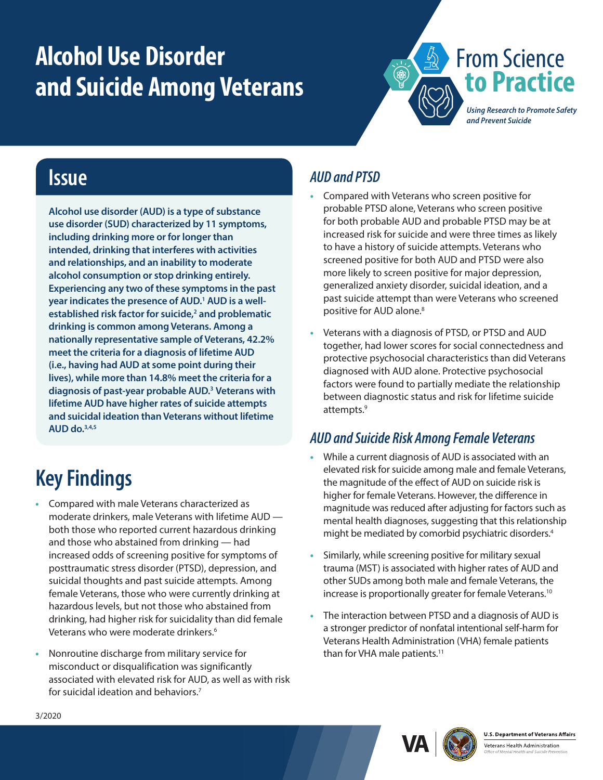# <span id="page-0-0"></span>**Alcohol Use Disorder and Suicide Among Veterans**



### **Issue**

**Alcohol use disorder (AUD) is a type of substance use disorder (SUD) characterized by 11 symptoms, including drinking more or for longer than intended, drinking that interferes with activities and relationships, and an inability to moderate alcohol consumption or stop drinking entirely. Experiencing any two of these symptoms in the past year indicates the presence of AUD[.1](#page-1-0) AUD is a wellestablished risk factor for suicide,[2](#page-1-0) and problematic drinking is common among Veterans. Among a nationally representative sample of Veterans, 42.2% meet the criteria for a diagnosis of lifetime AUD (i.e., having had AUD at some point during their lives), while more than 14.8% meet the criteria for a diagnosis of past-year probable AUD.[3](#page-1-0) Veterans with lifetime AUD have higher rates of suicide attempts and suicidal ideation than Veterans without lifetime AUD do.[3](#page-1-1)[,4,5](#page-1-0)**

## **Key Findings**

- **•** Compared with male Veterans characterized as moderate drinkers, male Veterans with lifetime AUD both those who reported current hazardous drinking and those who abstained from drinking — had increased odds of screening positive for symptoms of posttraumatic stress disorder (PTSD), depression, and suicidal thoughts and past suicide attempts. Among female Veterans, those who were currently drinking at hazardous levels, but not those who abstained from drinking, had higher risk for suicidality than did female Veterans who were moderate drinkers.<sup>6</sup>
- **•** Nonroutine discharge from military service for misconduct or disqualification was significantly associated with elevated risk for AUD, as well as with risk for suicidal ideation and behaviors.[7](#page-1-0)

#### *AUD and PTSD*

- **•** Compared with Veterans who screen positive for probable PTSD alone, Veterans who screen positive for both probable AUD and probable PTSD may be at increased risk for suicide and were three times as likely to have a history of suicide attempts. Veterans who screened positive for both AUD and PTSD were also more likely to screen positive for major depression, generalized anxiety disorder, suicidal ideation, and a past suicide attempt than were Veterans who screened positive for AUD alone.<sup>8</sup>
- **•** Veterans with a diagnosis of PTSD, or PTSD and AUD together, had lower scores for social connectedness and protective psychosocial characteristics than did Veterans diagnosed with AUD alone. Protective psychosocial factors were found to partially mediate the relationship between diagnostic status and risk for lifetime suicide attempts.<sup>9</sup>

#### *AUD and Suicide Risk Among Female Veterans*

- **•** While a current diagnosis of AUD is associated with an elevated risk for suicide among male and female Veterans, the magnitude of the effect of AUD on suicide risk is higher for female Veterans. However, the difference in magnitude was reduced after adjusting for factors such as mental health diagnoses, suggesting that this relationship might be mediated by comorbid psychiatric disorders[.4](#page-1-2)
- **•** Similarly, while screening positive for military sexual trauma (MST) is associated with higher rates of AUD and other SUDs among both male and female Veterans, the increase is proportionally greater for female Veterans.<sup>[10](#page-1-0)</sup>
- **•** The interaction between PTSD and a diagnosis of AUD is a stronger predictor of nonfatal intentional self-harm for Veterans Health Administration (VHA) female patients than for VHA male patients.<sup>[11](#page-1-0)</sup>





**U.S. Department of Veterans Affairs** 

Veterans Health Administration